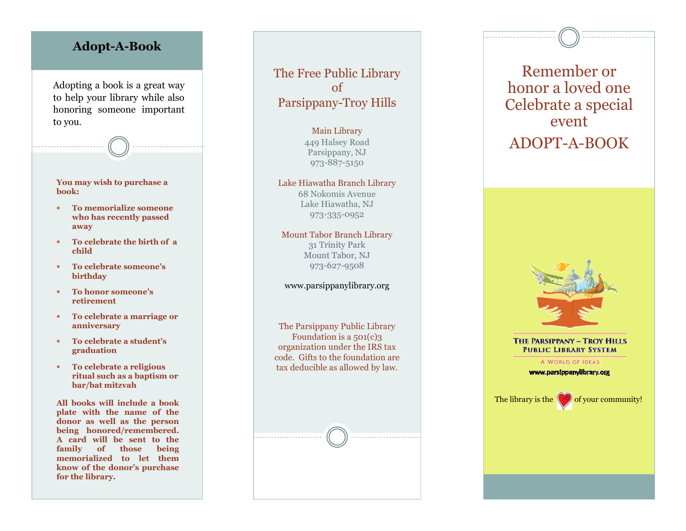## Adopt-A-Book

Adopting a book is a great way to help your library while also honoring someone important to you.

You may wish to purchase a book:

- To memorialize someone who has recently passed away
- To celebrate the birth of a child
- To celebrate someone's birthday
- To honor someone's retirement
- To celebrate a marriage or anniversary
- To celebrate a student's graduation
- To celebrate a religious ritual such as a baptism or bar/bat mitzvah

All books will include a book plate with the name of the donor as well as the person being honored/remembered. A card will be sent to the family of those being memorialized to let them know of the donor's purchase for the library.

The Free Public Library of Parsippany-Troy Hills

> Main Library 449 Halsey Road Parsippany, NJ 973-887-5150

Lake Hiawatha Branch Library 68 Nokomis Avenue Lake Hiawatha, NJ 973-335-0952

Mount Tabor Branch Library 31 Trinity Park Mount Tabor, NJ 973-627-9508

www.parsippanylibrary.org

The Parsippany Public Library Foundation is a 501(c)3 organization under the IRS tax code. Gifts to the foundation are tax deducible as allowed by law.





THE PARSIPPANY ~ TROY HILLS **PUBLIC LIBRARY SYSTEM** 

> A WORLD OF IDEAS: www.parsippanylibrary.org

The library is the  $\langle \circ \circ \rangle$  of your community!